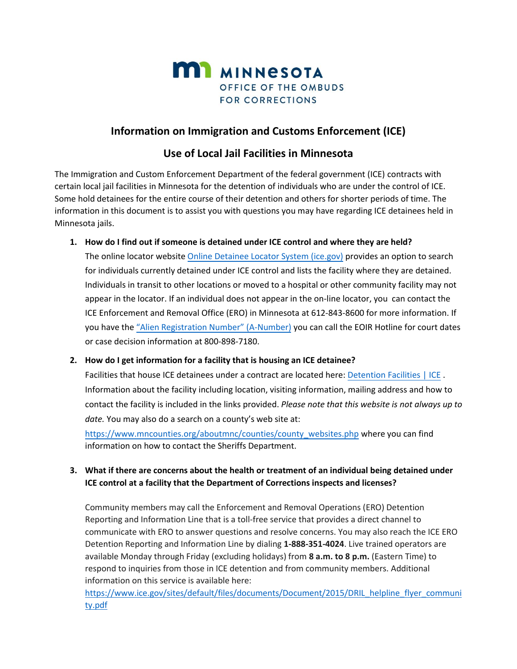

# **Information on Immigration and Customs Enforcement (ICE)**

# **Use of Local Jail Facilities in Minnesota**

The Immigration and Custom Enforcement Department of the federal government (ICE) contracts with certain local jail facilities in Minnesota for the detention of individuals who are under the control of ICE. Some hold detainees for the entire course of their detention and others for shorter periods of time. The information in this document is to assist you with questions you may have regarding ICE detainees held in Minnesota jails.

**1. How do I find out if someone is detained under ICE control and where they are held?** The online locator website [Online Detainee Locator System \(ice.gov\)](https://locator.ice.gov/odls/#/index) provides an option to search for individuals currently detained under ICE control and lists the facility where they are detained. Individuals in transit to other locations or moved to a hospital or other community facility may not appear in the locator. If an individual does not appear in the on-line locator, you can contact the ICE Enforcement and Removal Office (ERO) in Minnesota at 612-843-8600 for more information. If you have the ["Alien Registration Number" \(A](https://www.ice.gov/doclib/news/library/factsheets/pdf/odls-brochure.pdf)-Number) you can call the EOIR Hotline for court dates or case decision information at 800-898-7180.

## **2. How do I get information for a facility that is housing an ICE detainee?**

Facilities that house ICE detainees under a contract are located here: [Detention Facilities | ICE](https://www.ice.gov/detention-facilities) . Information about the facility including location, visiting information, mailing address and how to contact the facility is included in the links provided. *Please note that this website is not always up to date.* You may also do a search on a county's web site at:

[https://www.mncounties.org/aboutmnc/counties/county\\_websites.php](https://www.mncounties.org/aboutmnc/counties/county_websites.php) where you can find information on how to contact the Sheriffs Department.

# **3. What if there are concerns about the health or treatment of an individual being detained under ICE control at a facility that the Department of Corrections inspects and licenses?**

Community members may call the Enforcement and Removal Operations (ERO) Detention Reporting and Information Line that is a toll-free service that provides a direct channel to communicate with ERO to answer questions and resolve concerns. You may also reach the ICE ERO Detention Reporting and Information Line by dialing **1-888-351-4024**. Live trained operators are available Monday through Friday (excluding holidays) from **8 a.m. to 8 p.m.** (Eastern Time) to respond to inquiries from those in ICE detention and from community members. Additional information on this service is available here:

[https://www.ice.gov/sites/default/files/documents/Document/2015/DRIL\\_helpline\\_flyer\\_communi](https://www.ice.gov/sites/default/files/documents/Document/2015/DRIL_helpline_flyer_community.pdf) [ty.pdf](https://www.ice.gov/sites/default/files/documents/Document/2015/DRIL_helpline_flyer_community.pdf)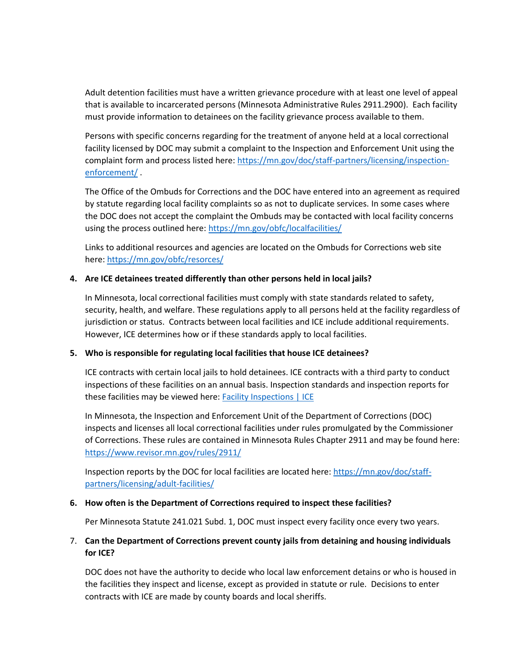Adult detention facilities must have a written grievance procedure with at least one level of appeal that is available to incarcerated persons (Minnesota Administrative Rules 2911.2900). Each facility must provide information to detainees on the facility grievance process available to them.

Persons with specific concerns regarding for the treatment of anyone held at a local correctional facility licensed by DOC may submit a complaint to the Inspection and Enforcement Unit using the complaint form and process listed here: [https://mn.gov/doc/staff-partners/licensing/inspection](https://mn.gov/doc/staff-partners/licensing/inspection-enforcement/)[enforcement/](https://mn.gov/doc/staff-partners/licensing/inspection-enforcement/) .

The Office of the Ombuds for Corrections and the DOC have entered into an agreement as required by statute regarding local facility complaints so as not to duplicate services. In some cases where the DOC does not accept the complaint the Ombuds may be contacted with local facility concerns using the process outlined here[: https://mn.gov/obfc/localfacilities/](https://mn.gov/obfc/localfacilities/) 

Links to additional resources and agencies are located on the Ombuds for Corrections web site here: [https://mn.gov/obfc/r](https://mn.gov/obfc/)esorces/

#### **4. Are ICE detainees treated differently than other persons held in local jails?**

In Minnesota, local correctional facilities must comply with state standards related to safety, security, health, and welfare. These regulations apply to all persons held at the facility regardless of jurisdiction or status. Contracts between local facilities and ICE include additional requirements. However, ICE determines how or if these standards apply to local facilities.

#### **5. Who is responsible for regulating local facilities that house ICE detainees?**

ICE contracts with certain local jails to hold detainees. ICE contracts with a third party to conduct inspections of these facilities on an annual basis. Inspection standards and inspection reports for these facilities may be viewed here: **Facility Inspections** | ICE

In Minnesota, the Inspection and Enforcement Unit of the Department of Corrections (DOC) inspects and licenses all local correctional facilities under rules promulgated by the Commissioner of Corrections. These rules are contained in Minnesota Rules Chapter 2911 and may be found here: <https://www.revisor.mn.gov/rules/2911/>

Inspection reports by the DOC for local facilities are located here: [https://mn.gov/doc/staff](https://mn.gov/doc/staff-partners/licensing/adult-facilities/)[partners/licensing/adult-facilities/](https://mn.gov/doc/staff-partners/licensing/adult-facilities/)

#### **6. How often is the Department of Corrections required to inspect these facilities?**

Per Minnesota Statute 241.021 Subd. 1, DOC must inspect every facility once every two years.

## 7. **Can the Department of Corrections prevent county jails from detaining and housing individuals for ICE?**

DOC does not have the authority to decide who local law enforcement detains or who is housed in the facilities they inspect and license, except as provided in statute or rule. Decisions to enter contracts with ICE are made by county boards and local sheriffs.